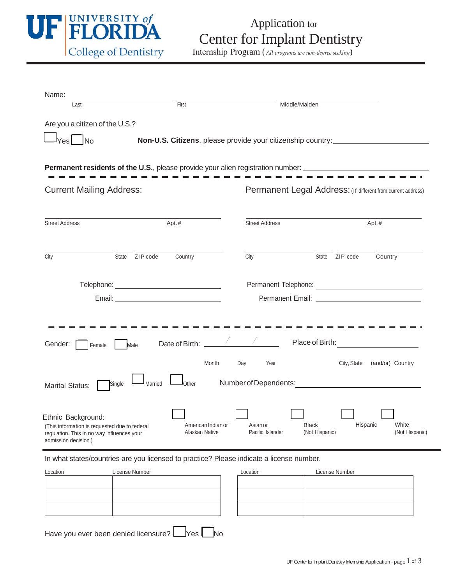

## Application for Center for Implant Dentistry

Internship Program (*All programs are non‐degree seeking*)

| Name:                                                                                                                  |                   |                                                                                  |     |                                             |                 |                |             |         |                  |  |  |
|------------------------------------------------------------------------------------------------------------------------|-------------------|----------------------------------------------------------------------------------|-----|---------------------------------------------|-----------------|----------------|-------------|---------|------------------|--|--|
| First<br>Last                                                                                                          |                   |                                                                                  |     | Middle/Maiden                               |                 |                |             |         |                  |  |  |
| Are you a citizen of the U.S.?                                                                                         |                   |                                                                                  |     |                                             |                 |                |             |         |                  |  |  |
| N <sub>O</sub><br>resl                                                                                                 |                   | Non-U.S. Citizens, please provide your citizenship country: ____________________ |     |                                             |                 |                |             |         |                  |  |  |
|                                                                                                                        |                   |                                                                                  |     |                                             |                 |                |             |         |                  |  |  |
| <b>Permanent residents of the U.S.</b> , please provide your alien registration number: ______________________________ |                   |                                                                                  |     |                                             |                 |                |             |         |                  |  |  |
| <b>Current Mailing Address:</b>                                                                                        |                   | Permanent Legal Address: (If different from current address)                     |     |                                             |                 |                |             |         |                  |  |  |
|                                                                                                                        |                   |                                                                                  |     |                                             |                 |                |             |         |                  |  |  |
| <b>Street Address</b>                                                                                                  | Apt.#             |                                                                                  |     | <b>Street Address</b>                       |                 | Apt.#          |             |         |                  |  |  |
|                                                                                                                        |                   |                                                                                  |     |                                             |                 |                |             |         |                  |  |  |
| City                                                                                                                   | State ZIP code    | Country                                                                          |     | City                                        |                 | State ZIP code |             | Country |                  |  |  |
|                                                                                                                        |                   |                                                                                  |     |                                             |                 |                |             |         |                  |  |  |
|                                                                                                                        |                   |                                                                                  |     |                                             |                 |                |             |         |                  |  |  |
|                                                                                                                        |                   |                                                                                  |     |                                             |                 |                |             |         |                  |  |  |
|                                                                                                                        |                   |                                                                                  |     |                                             |                 |                |             |         |                  |  |  |
|                                                                                                                        |                   |                                                                                  |     |                                             |                 |                |             |         |                  |  |  |
| Gender:<br>Female                                                                                                      | Male              | Date of Birth:                                                                   |     |                                             | Place of Birth: |                |             |         |                  |  |  |
|                                                                                                                        |                   | Month                                                                            | Day | Year                                        |                 |                | City, State |         | (and/or) Country |  |  |
|                                                                                                                        |                   |                                                                                  |     |                                             |                 |                |             |         |                  |  |  |
| <b>Marital Status:</b>                                                                                                 | Married<br>Single | Other                                                                            |     | Number of Dependents: Number of Dependents: |                 |                |             |         |                  |  |  |
|                                                                                                                        |                   |                                                                                  |     |                                             |                 |                |             |         |                  |  |  |
| Ethnic Background:                                                                                                     |                   | American Indian or                                                               |     | Asian or                                    | <b>Black</b>    |                | Hispanic    |         | White            |  |  |
| (This information is requested due to federal<br>regulation. This in no way influences your<br>admission decision.)    |                   | Alaskan Native                                                                   |     | Pacific Islander                            |                 | (Not Hispanic) |             |         | (Not Hispanic)   |  |  |

In what states/countries are you licensed to practice? Please indicate a license number.

| Location | License Number | Location | License Number |
|----------|----------------|----------|----------------|
|          |                |          |                |
|          |                |          |                |
|          |                |          |                |
|          |                |          |                |

| Location | License Number |  |  |  |  |  |
|----------|----------------|--|--|--|--|--|
|          |                |  |  |  |  |  |
|          |                |  |  |  |  |  |
|          |                |  |  |  |  |  |
|          |                |  |  |  |  |  |
|          |                |  |  |  |  |  |
|          |                |  |  |  |  |  |

Have you ever been denied licensure?  $\Box$  Yes  $\Box$  No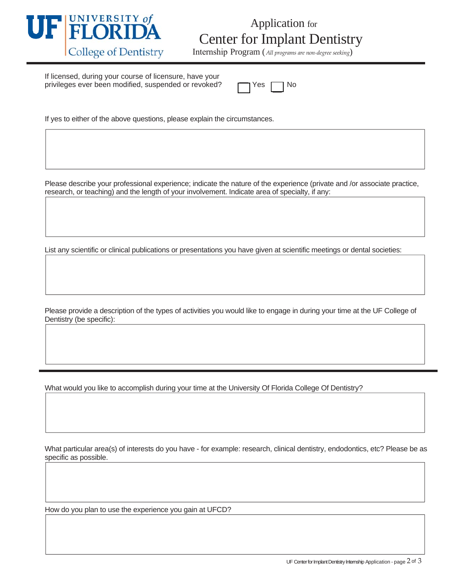

## Application for Center for Implant Dentistry

Internship Program (*All programs are non‐degree seeking*)

If licensed, during your course of licensure, have your privileges ever been modified, suspended or revoked?

If yes to either of the above questions, please explain the circumstances.

Please describe your professional experience; indicate the nature of the experience (private and /or associate practice, research, or teaching) and the length of your involvement. Indicate area of specialty, if any:

List any scientific or clinical publications or presentations you have given at scientific meetings or dental societies:

Please provide a description of the types of activities you would like to engage in during your time at the UF College of Dentistry (be specific):

What would you like to accomplish during your time at the University Of Florida College Of Dentistry?

What particular area(s) of interests do you have - for example: research, clinical dentistry, endodontics, etc? Please be as specific as possible.

How do you plan to use the experience you gain at UFCD?